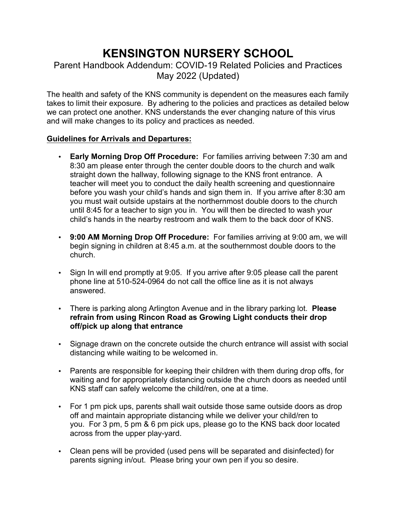# **KENSINGTON NURSERY SCHOOL**

## Parent Handbook Addendum: COVID-19 Related Policies and Practices May 2022 (Updated)

The health and safety of the KNS community is dependent on the measures each family takes to limit their exposure. By adhering to the policies and practices as detailed below we can protect one another. KNS understands the ever changing nature of this virus and will make changes to its policy and practices as needed.

## **Guidelines for Arrivals and Departures:**

- **Early Morning Drop Off Procedure:** For families arriving between 7:30 am and 8:30 am please enter through the center double doors to the church and walk straight down the hallway, following signage to the KNS front entrance. A teacher will meet you to conduct the daily health screening and questionnaire before you wash your child's hands and sign them in. If you arrive after 8:30 am you must wait outside upstairs at the northernmost double doors to the church until 8:45 for a teacher to sign you in. You will then be directed to wash your child's hands in the nearby restroom and walk them to the back door of KNS.
- **9:00 AM Morning Drop Off Procedure:** For families arriving at 9:00 am, we will begin signing in children at 8:45 a.m. at the southernmost double doors to the church.
- Sign In will end promptly at 9:05. If you arrive after 9:05 please call the parent phone line at 510-524-0964 do not call the office line as it is not always answered.
- There is parking along Arlington Avenue and in the library parking lot. **Please refrain from using Rincon Road as Growing Light conducts their drop off/pick up along that entrance**
- Signage drawn on the concrete outside the church entrance will assist with social distancing while waiting to be welcomed in.
- Parents are responsible for keeping their children with them during drop offs, for waiting and for appropriately distancing outside the church doors as needed until KNS staff can safely welcome the child/ren, one at a time.
- For 1 pm pick ups, parents shall wait outside those same outside doors as drop off and maintain appropriate distancing while we deliver your child/ren to you. For 3 pm, 5 pm & 6 pm pick ups, please go to the KNS back door located across from the upper play-yard.
- Clean pens will be provided (used pens will be separated and disinfected) for parents signing in/out. Please bring your own pen if you so desire.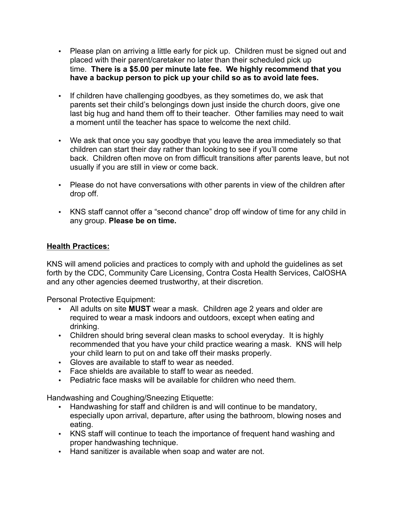- Please plan on arriving a little early for pick up. Children must be signed out and placed with their parent/caretaker no later than their scheduled pick up time. **There is a \$5.00 per minute late fee. We highly recommend that you have a backup person to pick up your child so as to avoid late fees.**
- If children have challenging goodbyes, as they sometimes do, we ask that parents set their child's belongings down just inside the church doors, give one last big hug and hand them off to their teacher. Other families may need to wait a moment until the teacher has space to welcome the next child.
- We ask that once you say goodbye that you leave the area immediately so that children can start their day rather than looking to see if you'll come back. Children often move on from difficult transitions after parents leave, but not usually if you are still in view or come back.
- Please do not have conversations with other parents in view of the children after drop off.
- KNS staff cannot offer a "second chance" drop off window of time for any child in any group. **Please be on time.**

## **Health Practices:**

KNS will amend policies and practices to comply with and uphold the guidelines as set forth by the CDC, Community Care Licensing, Contra Costa Health Services, CalOSHA and any other agencies deemed trustworthy, at their discretion.

Personal Protective Equipment:

- All adults on site **MUST** wear a mask. Children age 2 years and older are required to wear a mask indoors and outdoors, except when eating and drinking.
- Children should bring several clean masks to school everyday. It is highly recommended that you have your child practice wearing a mask. KNS will help your child learn to put on and take off their masks properly.
- Gloves are available to staff to wear as needed.
- Face shields are available to staff to wear as needed.
- Pediatric face masks will be available for children who need them.

Handwashing and Coughing/Sneezing Etiquette:

- Handwashing for staff and children is and will continue to be mandatory, especially upon arrival, departure, after using the bathroom, blowing noses and eating.
- KNS staff will continue to teach the importance of frequent hand washing and proper handwashing technique.
- Hand sanitizer is available when soap and water are not.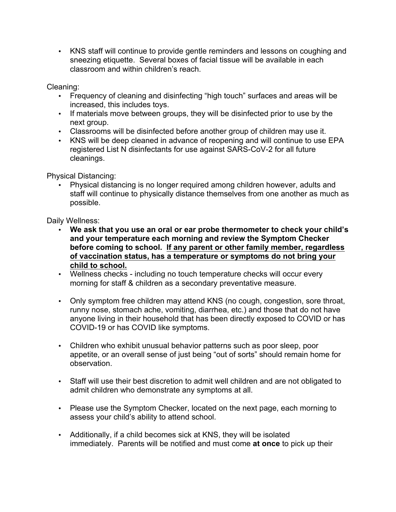• KNS staff will continue to provide gentle reminders and lessons on coughing and sneezing etiquette. Several boxes of facial tissue will be available in each classroom and within children's reach.

Cleaning:

- Frequency of cleaning and disinfecting "high touch" surfaces and areas will be increased, this includes toys.
- If materials move between groups, they will be disinfected prior to use by the next group.
- Classrooms will be disinfected before another group of children may use it.
- KNS will be deep cleaned in advance of reopening and will continue to use EPA registered List N disinfectants for use against SARS-CoV-2 for all future cleanings.

Physical Distancing:

• Physical distancing is no longer required among children however, adults and staff will continue to physically distance themselves from one another as much as possible.

Daily Wellness:

- **We ask that you use an oral or ear probe thermometer to check your child's and your temperature each morning and review the Symptom Checker before coming to school. If any parent or other family member, regardless of vaccination status, has a temperature or symptoms do not bring your child to school.**
- Wellness checks including no touch temperature checks will occur every morning for staff & children as a secondary preventative measure.
- Only symptom free children may attend KNS (no cough, congestion, sore throat, runny nose, stomach ache, vomiting, diarrhea, etc.) and those that do not have anyone living in their household that has been directly exposed to COVID or has COVID-19 or has COVID like symptoms.
- Children who exhibit unusual behavior patterns such as poor sleep, poor appetite, or an overall sense of just being "out of sorts" should remain home for observation.
- Staff will use their best discretion to admit well children and are not obligated to admit children who demonstrate any symptoms at all.
- Please use the Symptom Checker, located on the next page, each morning to assess your child's ability to attend school.
- Additionally, if a child becomes sick at KNS, they will be isolated immediately. Parents will be notified and must come **at once** to pick up their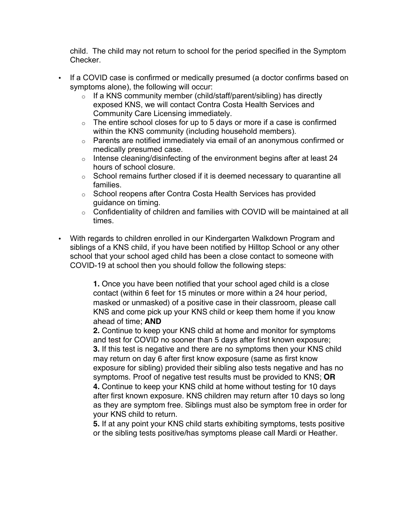child. The child may not return to school for the period specified in the Symptom Checker.

- If a COVID case is confirmed or medically presumed (a doctor confirms based on symptoms alone), the following will occur:
	- $\circ$  If a KNS community member (child/staff/parent/sibling) has directly exposed KNS, we will contact Contra Costa Health Services and Community Care Licensing immediately.
	- $\circ$  The entire school closes for up to 5 days or more if a case is confirmed within the KNS community (including household members).
	- o Parents are notified immediately via email of an anonymous confirmed or medically presumed case.
	- $\circ$  Intense cleaning/disinfecting of the environment begins after at least 24 hours of school closure.
	- $\circ$  School remains further closed if it is deemed necessary to quarantine all families.
	- o School reopens after Contra Costa Health Services has provided guidance on timing.
	- o Confidentiality of children and families with COVID will be maintained at all times.
- With regards to children enrolled in our Kindergarten Walkdown Program and siblings of a KNS child, if you have been notified by Hilltop School or any other school that your school aged child has been a close contact to someone with COVID-19 at school then you should follow the following steps:

**1.** Once you have been notified that your school aged child is a close contact (within 6 feet for 15 minutes or more within a 24 hour period, masked or unmasked) of a positive case in their classroom, please call KNS and come pick up your KNS child or keep them home if you know ahead of time; **AND**

**2.** Continue to keep your KNS child at home and monitor for symptoms and test for COVID no sooner than 5 days after first known exposure; **3.** If this test is negative and there are no symptoms then your KNS child may return on day 6 after first know exposure (same as first know exposure for sibling) provided their sibling also tests negative and has no symptoms. Proof of negative test results must be provided to KNS; **OR 4.** Continue to keep your KNS child at home without testing for 10 days after first known exposure. KNS children may return after 10 days so long as they are symptom free. Siblings must also be symptom free in order for your KNS child to return.

**5.** If at any point your KNS child starts exhibiting symptoms, tests positive or the sibling tests positive/has symptoms please call Mardi or Heather.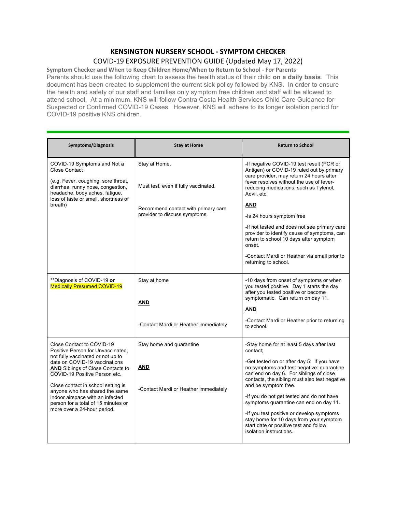#### **KENSINGTON NURSERY SCHOOL - SYMPTOM CHECKER** COVID-19 EXPOSURE PREVENTION GUIDE (Updated May 17, 2022)

Symptom Checker and When to Keep Children Home/When to Return to School - For Parents Parents should use the following chart to assess the health status of their child **on a daily basis**. This document has been created to supplement the current sick policy followed by KNS. In order to ensure the health and safety of our staff and families only symptom free children and staff will be allowed to attend school. At a minimum, KNS will follow Contra Costa Health Services Child Care Guidance for Suspected or Confirmed COVID-19 Cases. However, KNS will adhere to its longer isolation period for COVID-19 positive KNS children.

| <b>Symptoms/Diagnosis</b>                                                                                                                                                                                                                                                                                                                                                                           | <b>Stay at Home</b>                                                      | <b>Return to School</b>                                                                                                                                                                                                                                                                                                                                                                                                                                                                                                  |
|-----------------------------------------------------------------------------------------------------------------------------------------------------------------------------------------------------------------------------------------------------------------------------------------------------------------------------------------------------------------------------------------------------|--------------------------------------------------------------------------|--------------------------------------------------------------------------------------------------------------------------------------------------------------------------------------------------------------------------------------------------------------------------------------------------------------------------------------------------------------------------------------------------------------------------------------------------------------------------------------------------------------------------|
| COVID-19 Symptoms and Not a<br><b>Close Contact</b><br>(e.g. Fever, coughing, sore throat,<br>diarrhea, runny nose, congestion,<br>headache, body aches, fatigue,                                                                                                                                                                                                                                   | Stay at Home.<br>Must test, even if fully vaccinated.                    | -If negative COVID-19 test result (PCR or<br>Antigen) or COVID-19 ruled out by primary<br>care provider, may return 24 hours after<br>fever resolves without the use of fever-<br>reducing medications, such as Tylenol,<br>Advil, etc.                                                                                                                                                                                                                                                                                  |
| loss of taste or smell, shortness of<br>breath)                                                                                                                                                                                                                                                                                                                                                     | Recommend contact with primary care<br>provider to discuss symptoms.     | AND<br>-Is 24 hours symptom free<br>-If not tested and does not see primary care<br>provider to identify cause of symptoms, can<br>return to school 10 days after symptom<br>onset.<br>-Contact Mardi or Heather via email prior to<br>returning to school.                                                                                                                                                                                                                                                              |
| **Diagnosis of COVID-19 or<br><b>Medically Presumed COVID-19</b>                                                                                                                                                                                                                                                                                                                                    | Stay at home<br>AND<br>-Contact Mardi or Heather immediately             | -10 days from onset of symptoms or when<br>you tested positive. Day 1 starts the day<br>after you tested positive or become<br>symptomatic. Can return on day 11.<br>AND<br>-Contact Mardi or Heather prior to returning<br>to school.                                                                                                                                                                                                                                                                                   |
| Close Contact to COVID-19<br>Positive Person for Unvaccinated,<br>not fully vaccinated or not up to<br>date on COVID-19 vaccinations<br><b>AND</b> Siblings of Close Contacts to<br>COVID-19 Positive Person etc.<br>Close contact in school setting is<br>anyone who has shared the same<br>indoor airspace with an infected<br>person for a total of 15 minutes or<br>more over a 24-hour period. | Stay home and quarantine<br>AND<br>-Contact Mardi or Heather immediately | -Stay home for at least 5 days after last<br>contact:<br>-Get tested on or after day 5: If you have<br>no symptoms and test negative: quarantine<br>can end on day 6. For siblings of close<br>contacts, the sibling must also test negative<br>and be symptom free.<br>-If you do not get tested and do not have<br>symptoms quarantine can end on day 11.<br>-If you test positive or develop symptoms<br>stay home for 10 days from your symptom<br>start date or positive test and follow<br>isolation instructions. |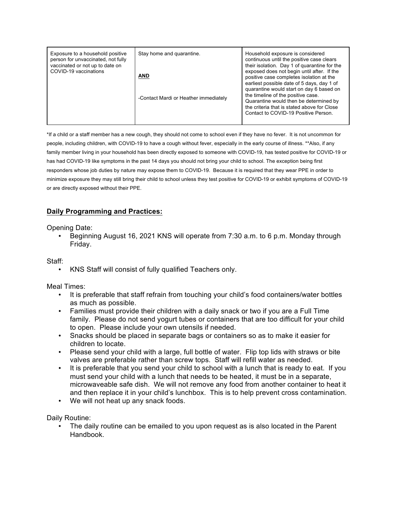| Exposure to a household positive<br>person for unvaccinated, not fully<br>vaccinated or not up to date on<br>COVID-19 vaccinations | Stay home and quarantine.<br>AND<br>-Contact Mardi or Heather immediately | Household exposure is considered<br>continuous until the positive case clears<br>their isolation. Day 1 of quarantine for the<br>exposed does not begin until after. If the<br>positive case completes isolation at the<br>earliest possible date of 5 days, day 1 of<br>quarantine would start on day 6 based on<br>the timeline of the positive case.<br>Quarantine would then be determined by<br>the criteria that is stated above for Close<br>Contact to COVID-19 Positive Person. |
|------------------------------------------------------------------------------------------------------------------------------------|---------------------------------------------------------------------------|------------------------------------------------------------------------------------------------------------------------------------------------------------------------------------------------------------------------------------------------------------------------------------------------------------------------------------------------------------------------------------------------------------------------------------------------------------------------------------------|
|------------------------------------------------------------------------------------------------------------------------------------|---------------------------------------------------------------------------|------------------------------------------------------------------------------------------------------------------------------------------------------------------------------------------------------------------------------------------------------------------------------------------------------------------------------------------------------------------------------------------------------------------------------------------------------------------------------------------|

\*If a child or a staff member has a new cough, they should not come to school even if they have no fever. It is not uncommon for people, including children, with COVID-19 to have a cough without fever, especially in the early course of illness. \*\*Also, if any family member living in your household has been directly exposed to someone with COVID-19, has tested positive for COVID-19 or has had COVID-19 like symptoms in the past 14 days you should not bring your child to school. The exception being first responders whose job duties by nature may expose them to COVID-19. Because it is required that they wear PPE in order to minimize exposure they may still bring their child to school unless they test positive for COVID-19 or exhibit symptoms of COVID-19 or are directly exposed without their PPE.

### **Daily Programming and Practices:**

Opening Date:

• Beginning August 16, 2021 KNS will operate from 7:30 a.m. to 6 p.m. Monday through Friday.

Staff:

• KNS Staff will consist of fully qualified Teachers only.

Meal Times:

- It is preferable that staff refrain from touching your child's food containers/water bottles as much as possible.
- Families must provide their children with a daily snack or two if you are a Full Time family. Please do not send yogurt tubes or containers that are too difficult for your child to open. Please include your own utensils if needed.
- Snacks should be placed in separate bags or containers so as to make it easier for children to locate.
- Please send your child with a large, full bottle of water. Flip top lids with straws or bite valves are preferable rather than screw tops. Staff will refill water as needed.
- It is preferable that you send your child to school with a lunch that is ready to eat. If you must send your child with a lunch that needs to be heated, it must be in a separate, microwaveable safe dish. We will not remove any food from another container to heat it and then replace it in your child's lunchbox. This is to help prevent cross contamination.
- We will not heat up any snack foods.

Daily Routine:

The daily routine can be emailed to you upon request as is also located in the Parent Handbook.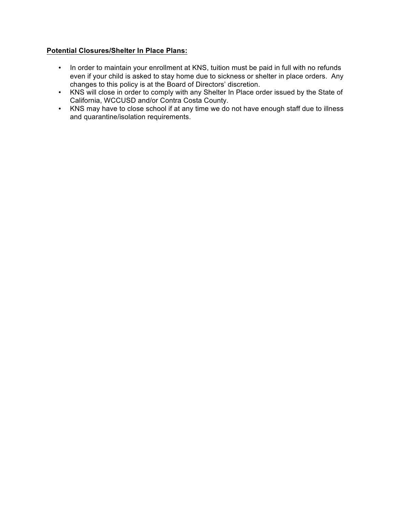### **Potential Closures/Shelter In Place Plans:**

- In order to maintain your enrollment at KNS, tuition must be paid in full with no refunds even if your child is asked to stay home due to sickness or shelter in place orders. Any changes to this policy is at the Board of Directors' discretion.
- KNS will close in order to comply with any Shelter In Place order issued by the State of California, WCCUSD and/or Contra Costa County.
- KNS may have to close school if at any time we do not have enough staff due to illness and quarantine/isolation requirements.